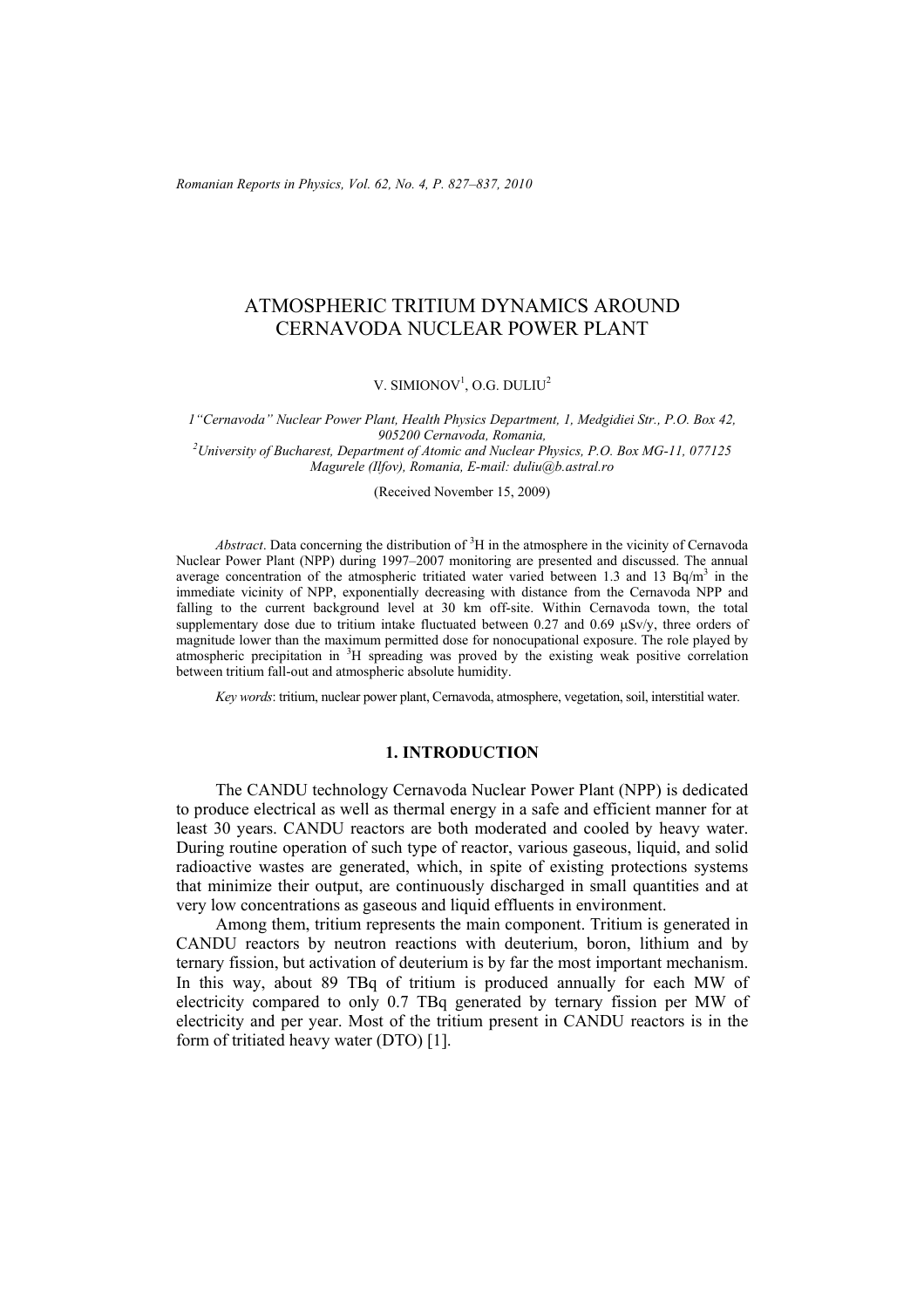*Romanian Reports in Physics, Vol. 62, No. 4, P. 827–837, 2010*

# ATMOSPHERIC TRITIUM DYNAMICS AROUND CERNAVODA NUCLEAR POWER PLANT

V. SIMIONOV<sup>1</sup>, O.G. DULIU<sup>2</sup>

*1"Cernavoda" Nuclear Power Plant, Health Physics Department, 1, Medgidiei Str., P.O. Box 42, 905200 Cernavoda, Romania, 2 University of Bucharest, Department of Atomic and Nuclear Physics, P.O. Box MG-11, 077125 Magurele (Ilfov), Romania, E-mail: duliu@b.astral.ro* 

(Received November 15, 2009)

Abstract. Data concerning the distribution of <sup>3</sup>H in the atmosphere in the vicinity of Cernavoda Nuclear Power Plant (NPP) during 1997–2007 monitoring are presented and discussed. The annual average concentration of the atmospheric tritiated water varied between 1.3 and 13 Bq/m<sup>3</sup> in the immediate vicinity of NPP, exponentially decreasing with distance from the Cernavoda NPP and falling to the current background level at 30 km off-site. Within Cernavoda town, the total supplementary dose due to tritium intake fluctuated between 0.27 and 0.69  $\mu$ Sv/y, three orders of magnitude lower than the maximum permitted dose for nonocupational exposure. The role played by atmospheric precipitation in <sup>3</sup>H spreading was proved by the existing weak positive correlation between tritium fall-out and atmospheric absolute humidity.

*Key words*: tritium, nuclear power plant, Cernavoda, atmosphere, vegetation, soil, interstitial water.

#### **1. INTRODUCTION**

The CANDU technology Cernavoda Nuclear Power Plant (NPP) is dedicated to produce electrical as well as thermal energy in a safe and efficient manner for at least 30 years. CANDU reactors are both moderated and cooled by heavy water. During routine operation of such type of reactor, various gaseous, liquid, and solid radioactive wastes are generated, which, in spite of existing protections systems that minimize their output, are continuously discharged in small quantities and at very low concentrations as gaseous and liquid effluents in environment.

Among them, tritium represents the main component. Tritium is generated in CANDU reactors by neutron reactions with deuterium, boron, lithium and by ternary fission, but activation of deuterium is by far the most important mechanism. In this way, about 89 TBq of tritium is produced annually for each MW of electricity compared to only 0.7 TBq generated by ternary fission per MW of electricity and per year. Most of the tritium present in CANDU reactors is in the form of tritiated heavy water (DTO) [1].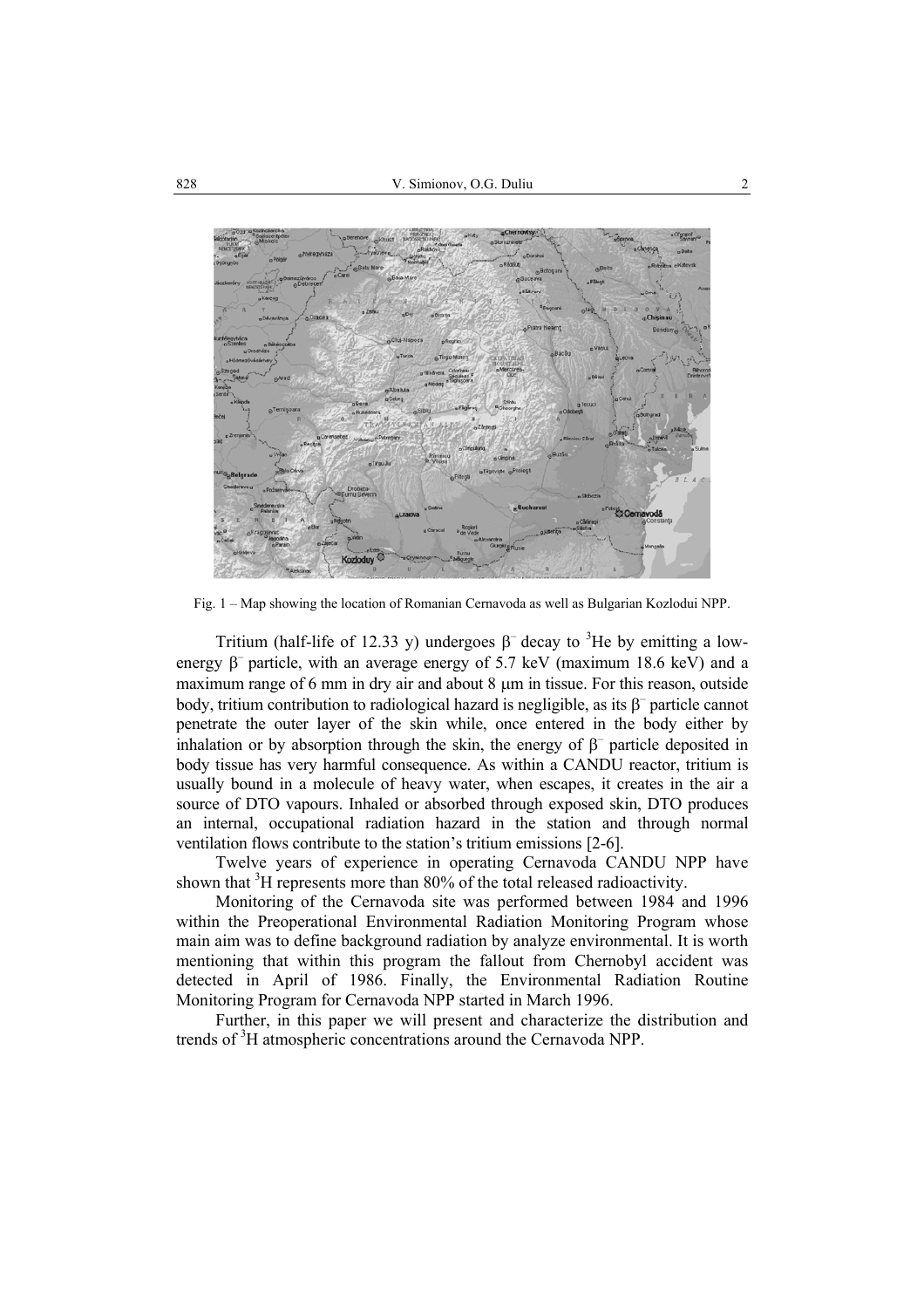

Fig. 1 – Map showing the location of Romanian Cernavoda as well as Bulgarian Kozlodui NPP.

Tritium (half-life of 12.33 y) undergoes  $\beta^-$  decay to <sup>3</sup>He by emitting a lowenergy  $\beta^-$  particle, with an average energy of 5.7 keV (maximum 18.6 keV) and a maximum range of 6 mm in dry air and about 8 µm in tissue. For this reason, outside body, tritium contribution to radiological hazard is negligible, as its  $\beta^-$  particle cannot penetrate the outer layer of the skin while, once entered in the body either by inhalation or by absorption through the skin, the energy of  $\beta^-$  particle deposited in body tissue has very harmful consequence. As within a CANDU reactor, tritium is usually bound in a molecule of heavy water, when escapes, it creates in the air a source of DTO vapours. Inhaled or absorbed through exposed skin, DTO produces an internal, occupational radiation hazard in the station and through normal ventilation flows contribute to the station's tritium emissions [2-6].

Twelve years of experience in operating Cernavoda CANDU NPP have shown that  ${}^{3}$ H represents more than 80% of the total released radioactivity.

Monitoring of the Cernavoda site was performed between 1984 and 1996 within the Preoperational Environmental Radiation Monitoring Program whose main aim was to define background radiation by analyze environmental. It is worth mentioning that within this program the fallout from Chernobyl accident was detected in April of 1986. Finally, the Environmental Radiation Routine Monitoring Program for Cernavoda NPP started in March 1996.

Further, in this paper we will present and characterize the distribution and trends of <sup>3</sup>H atmospheric concentrations around the Cernavoda NPP.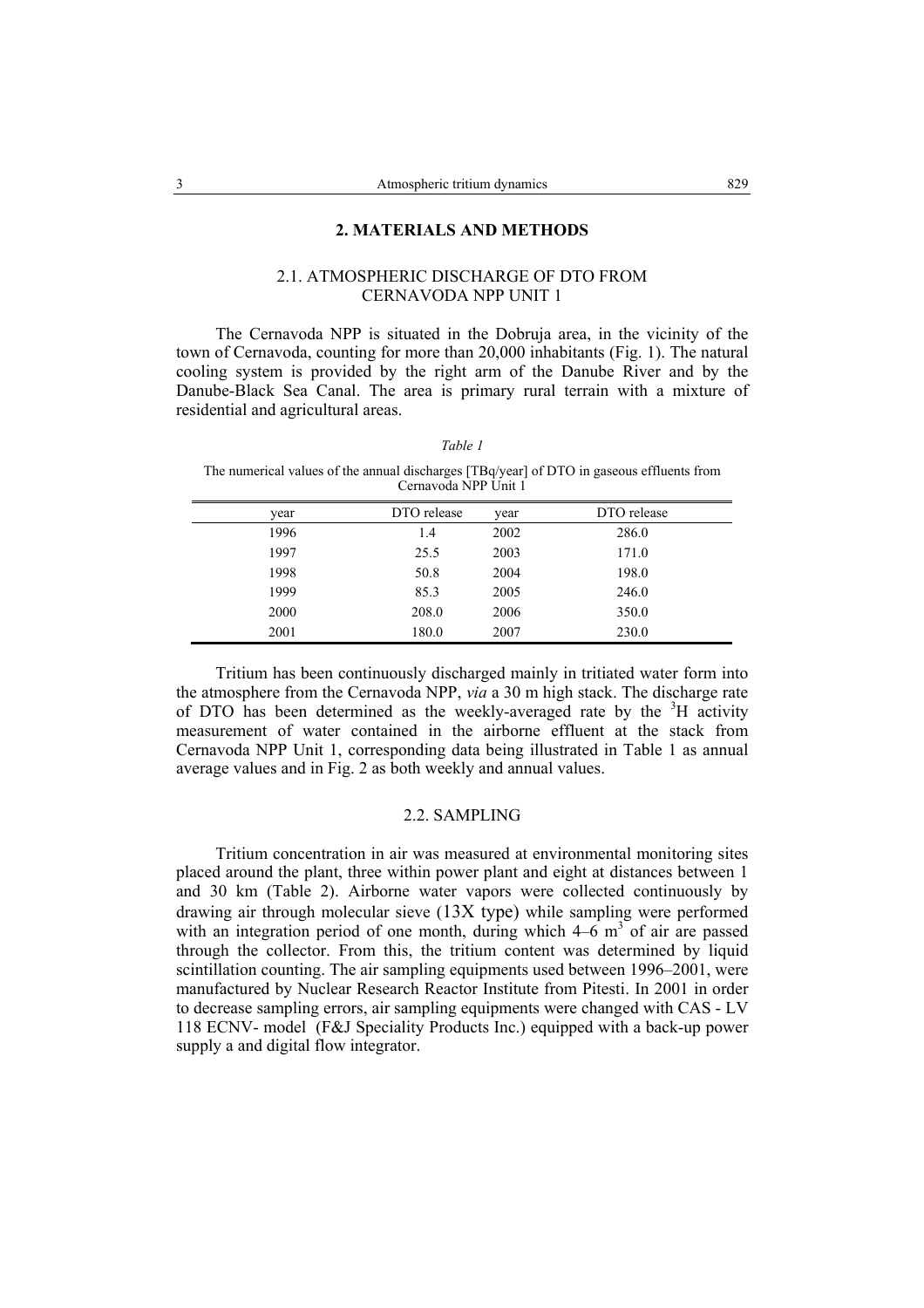## **2. MATERIALS AND METHODS**

## 2.1. ATMOSPHERIC DISCHARGE OF DTO FROM CERNAVODA NPP UNIT 1

The Cernavoda NPP is situated in the Dobruja area, in the vicinity of the town of Cernavoda, counting for more than 20,000 inhabitants (Fig. 1). The natural cooling system is provided by the right arm of the Danube River and by the Danube-Black Sea Canal. The area is primary rural terrain with a mixture of residential and agricultural areas.

| an |  |
|----|--|
|----|--|

The numerical values of the annual discharges [TBq/year] of DTO in gaseous effluents from Cernavoda NPP Unit 1

| year | DTO release | year | DTO release |
|------|-------------|------|-------------|
| 1996 | 1.4         | 2002 | 286.0       |
| 1997 | 25.5        | 2003 | 171.0       |
| 1998 | 50.8        | 2004 | 198.0       |
| 1999 | 85.3        | 2005 | 246.0       |
| 2000 | 208.0       | 2006 | 350.0       |
| 2001 | 180.0       | 2007 | 230.0       |

Tritium has been continuously discharged mainly in tritiated water form into the atmosphere from the Cernavoda NPP, *via* a 30 m high stack. The discharge rate of DTO has been determined as the weekly-averaged rate by the  $3H$  activity measurement of water contained in the airborne effluent at the stack from Cernavoda NPP Unit 1, corresponding data being illustrated in Table 1 as annual average values and in Fig. 2 as both weekly and annual values.

## 2.2. SAMPLING

Tritium concentration in air was measured at environmental monitoring sites placed around the plant, three within power plant and eight at distances between 1 and 30 km (Table 2). Airborne water vapors were collected continuously by drawing air through molecular sieve (13X type) while sampling were performed with an integration period of one month, during which  $4-\overline{6}$  m<sup>3</sup> of air are passed through the collector. From this, the tritium content was determined by liquid scintillation counting. The air sampling equipments used between 1996–2001, were manufactured by Nuclear Research Reactor Institute from Pitesti. In 2001 in order to decrease sampling errors, air sampling equipments were changed with CAS - LV 118 ECNV- model (F&J Speciality Products Inc.) equipped with a back-up power supply a and digital flow integrator.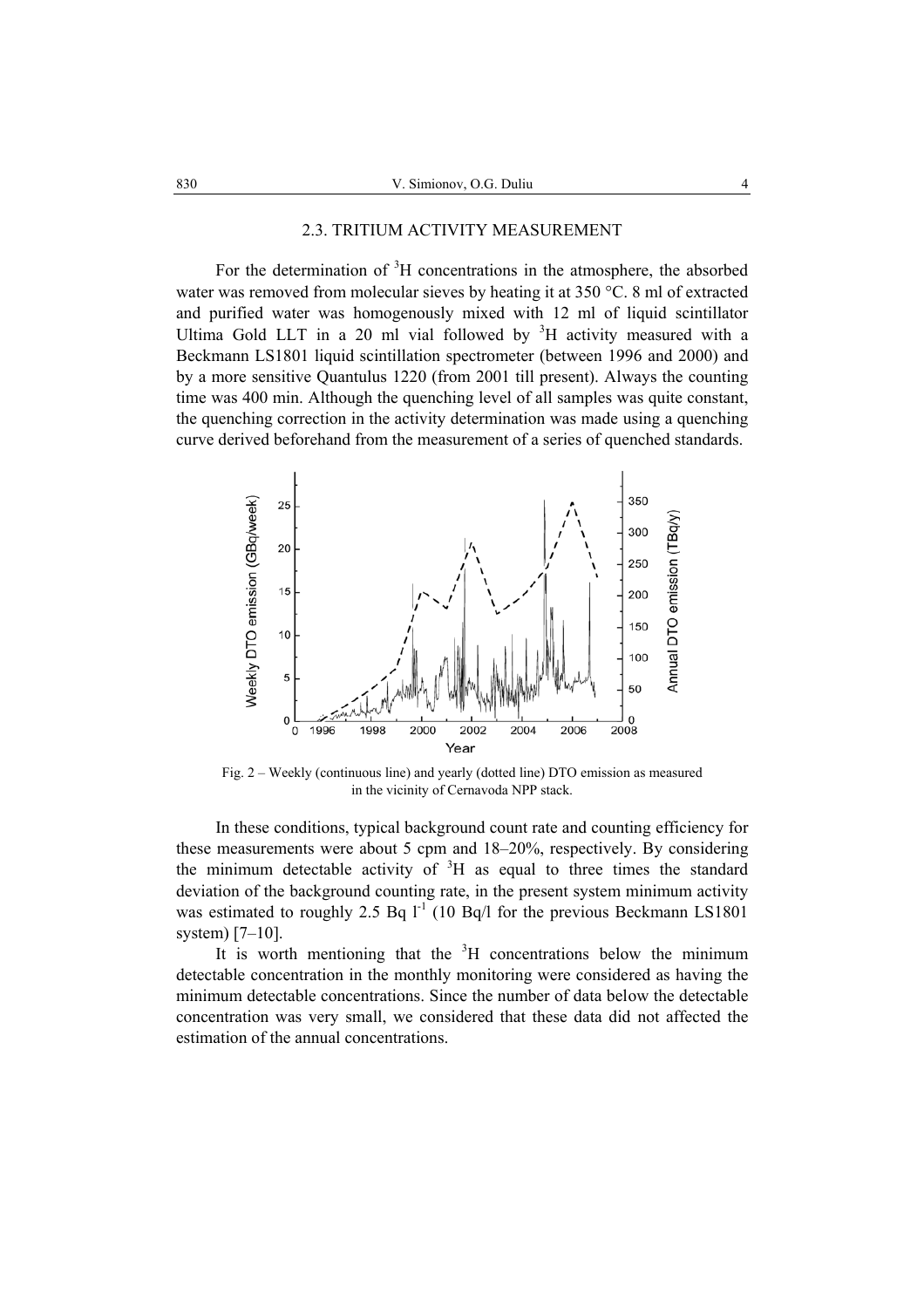#### 2.3. TRITIUM ACTIVITY MEASUREMENT

For the determination of  ${}^{3}H$  concentrations in the atmosphere, the absorbed water was removed from molecular sieves by heating it at 350 °C. 8 ml of extracted and purified water was homogenously mixed with 12 ml of liquid scintillator Ultima Gold LLT in a 20 ml vial followed by  ${}^{3}H$  activity measured with a Beckmann LS1801 liquid scintillation spectrometer (between 1996 and 2000) and by a more sensitive Quantulus 1220 (from 2001 till present). Always the counting time was 400 min. Although the quenching level of all samples was quite constant, the quenching correction in the activity determination was made using a quenching curve derived beforehand from the measurement of a series of quenched standards.



Fig. 2 – Weekly (continuous line) and yearly (dotted line) DTO emission as measured in the vicinity of Cernavoda NPP stack.

In these conditions, typical background count rate and counting efficiency for these measurements were about 5 cpm and 18–20%, respectively. By considering the minimum detectable activity of  ${}^{3}H$  as equal to three times the standard deviation of the background counting rate, in the present system minimum activity was estimated to roughly 2.5 Bq  $l^{-1}$  (10 Bq/l for the previous Beckmann LS1801 system) [7–10].

It is worth mentioning that the  ${}^{3}H$  concentrations below the minimum detectable concentration in the monthly monitoring were considered as having the minimum detectable concentrations. Since the number of data below the detectable concentration was very small, we considered that these data did not affected the estimation of the annual concentrations.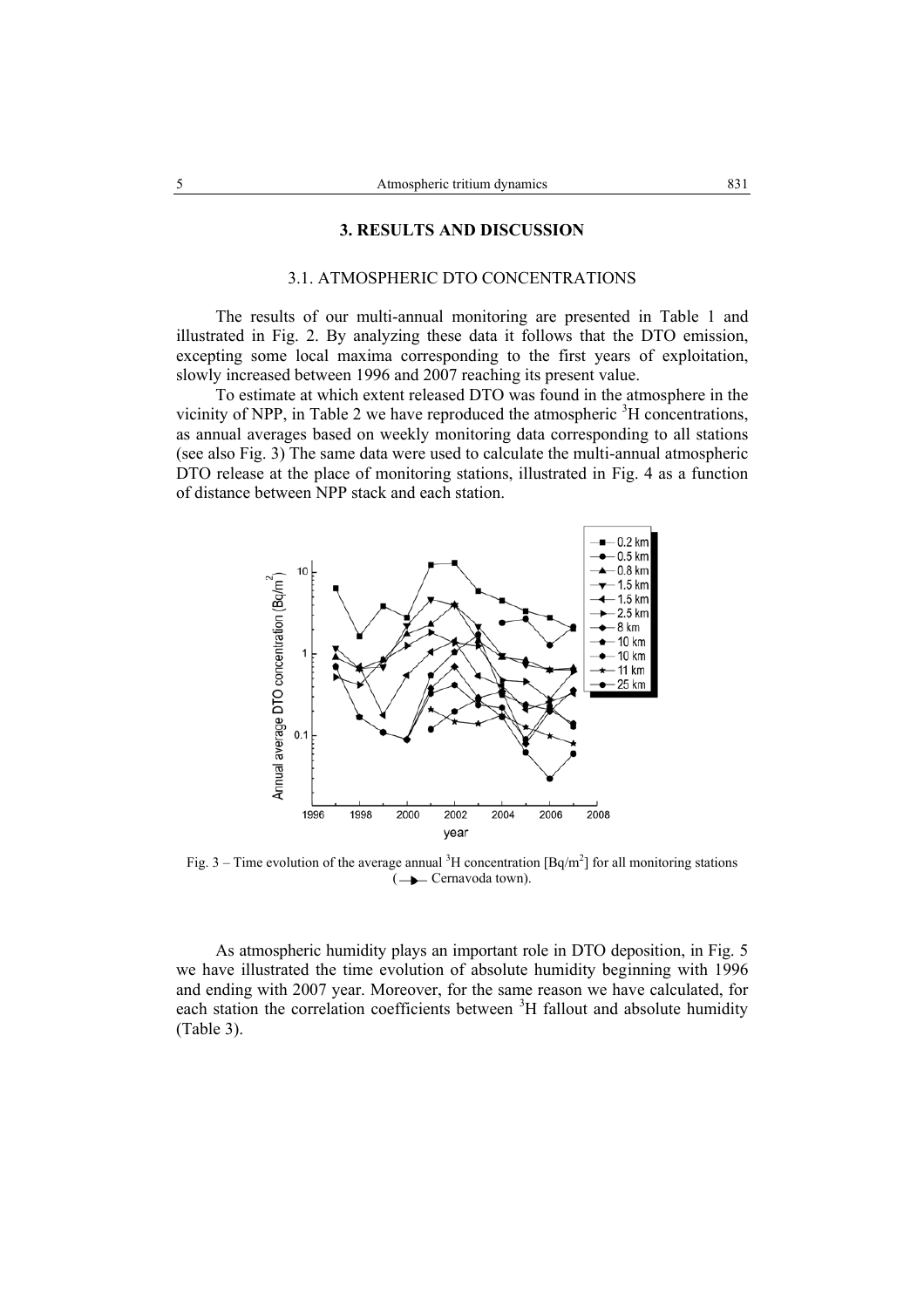#### **3. RESULTS AND DISCUSSION**

## 3.1. ATMOSPHERIC DTO CONCENTRATIONS

The results of our multi-annual monitoring are presented in Table 1 and illustrated in Fig. 2. By analyzing these data it follows that the DTO emission, excepting some local maxima corresponding to the first years of exploitation, slowly increased between 1996 and 2007 reaching its present value.

To estimate at which extent released DTO was found in the atmosphere in the vicinity of NPP, in Table 2 we have reproduced the atmospheric  ${}^{3}$ H concentrations, as annual averages based on weekly monitoring data corresponding to all stations (see also Fig. 3) The same data were used to calculate the multi-annual atmospheric DTO release at the place of monitoring stations, illustrated in Fig. 4 as a function of distance between NPP stack and each station.



Fig. 3 – Time evolution of the average annual <sup>3</sup>H concentration [Bq/m<sup>2</sup>] for all monitoring stations  $\left(\rightarrow\right)$  Cernavoda town).

As atmospheric humidity plays an important role in DTO deposition, in Fig. 5 we have illustrated the time evolution of absolute humidity beginning with 1996 and ending with 2007 year. Moreover, for the same reason we have calculated, for each station the correlation coefficients between <sup>3</sup>H fallout and absolute humidity (Table 3).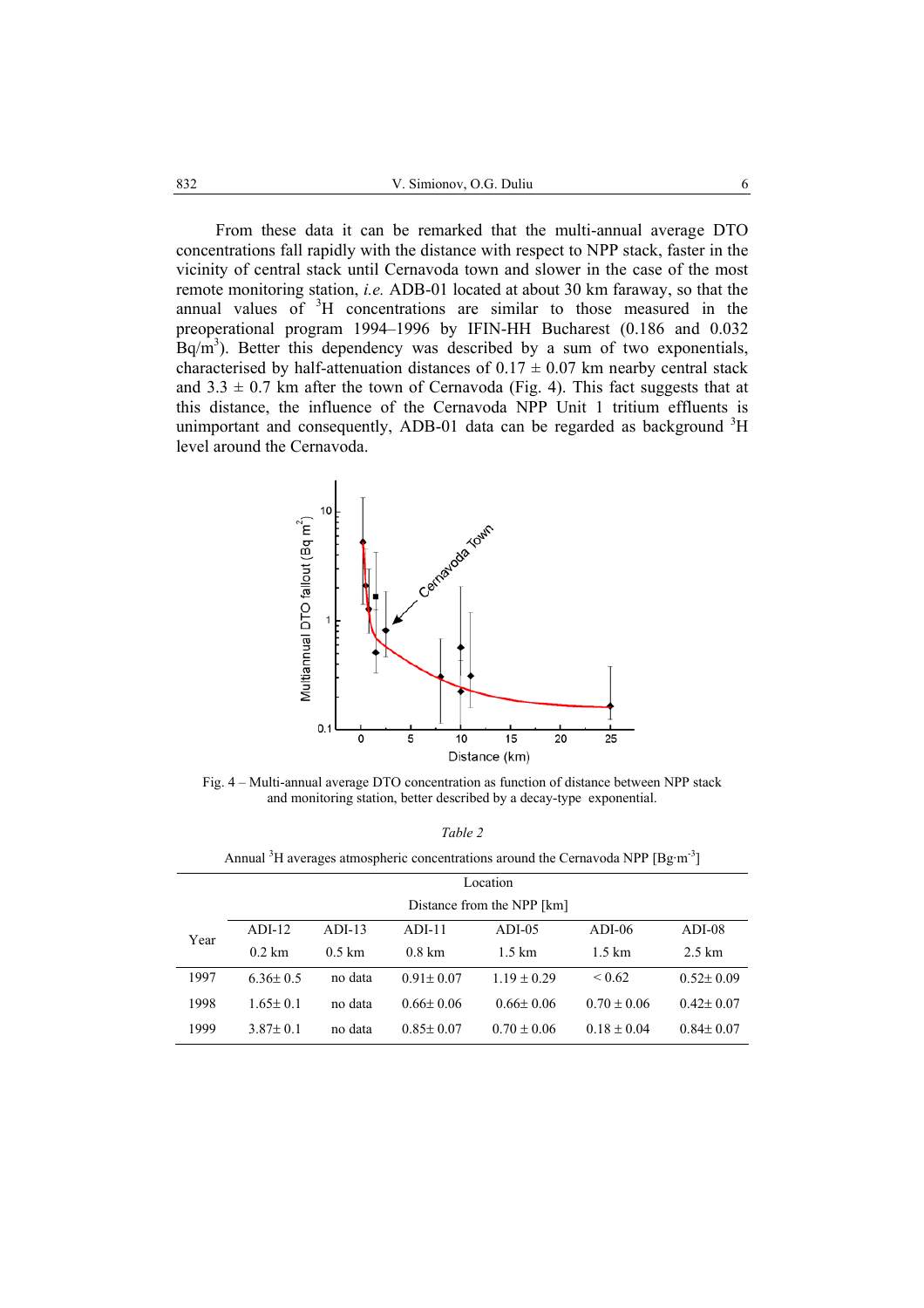From these data it can be remarked that the multi-annual average DTO concentrations fall rapidly with the distance with respect to NPP stack, faster in the vicinity of central stack until Cernavoda town and slower in the case of the most remote monitoring station, *i.e.* ADB-01 located at about 30 km faraway, so that the annual values of <sup>3</sup>H concentrations are similar to those measured in the preoperational program 1994–1996 by IFIN-HH Bucharest (0.186 and 0.032  $\text{Bq/m}^3$ ). Better this dependency was described by a sum of two exponentials, characterised by half-attenuation distances of  $0.17 \pm 0.07$  km nearby central stack and  $3.3 \pm 0.7$  km after the town of Cernavoda (Fig. 4). This fact suggests that at this distance, the influence of the Cernavoda NPP Unit 1 tritium effluents is unimportant and consequently, ADB-01 data can be regarded as background  ${}^{3}H$ level around the Cernavoda.



Fig. 4 – Multi-annual average DTO concentration as function of distance between NPP stack and monitoring station, better described by a decay-type exponential.

| ۰, |  |
|----|--|
|----|--|

Annual  ${}^{3}$ H averages atmospheric concentrations around the Cernavoda NPP [Bg·m<sup>-3</sup>]

|      | Location                   |                  |                  |                  |                 |                  |  |  |  |  |  |  |
|------|----------------------------|------------------|------------------|------------------|-----------------|------------------|--|--|--|--|--|--|
|      | Distance from the NPP [km] |                  |                  |                  |                 |                  |  |  |  |  |  |  |
| Year | $ADI-12$                   | $ADI-13$         | $ADI-11$         | $ADI-05$         | $ADI-06$        | $ADI-08$         |  |  |  |  |  |  |
|      | $0.2$ km                   | $0.5 \text{ km}$ | $0.8 \text{ km}$ | $1.5 \text{ km}$ | 1.5 km          | $2.5 \text{ km}$ |  |  |  |  |  |  |
| 1997 | $6.36 \pm 0.5$             | no data          | $0.91 \pm 0.07$  | $1.19 \pm 0.29$  | ${}< 0.62$      | $0.52 \pm 0.09$  |  |  |  |  |  |  |
| 1998 | $1.65 \pm 0.1$             | no data          | $0.66 \pm 0.06$  | $0.66 \pm 0.06$  | $0.70 \pm 0.06$ | $0.42 \pm 0.07$  |  |  |  |  |  |  |
| 1999 | $3.87 \pm 0.1$             | no data          | $0.85 \pm 0.07$  | $0.70 \pm 0.06$  | $0.18 \pm 0.04$ | $0.84 \pm 0.07$  |  |  |  |  |  |  |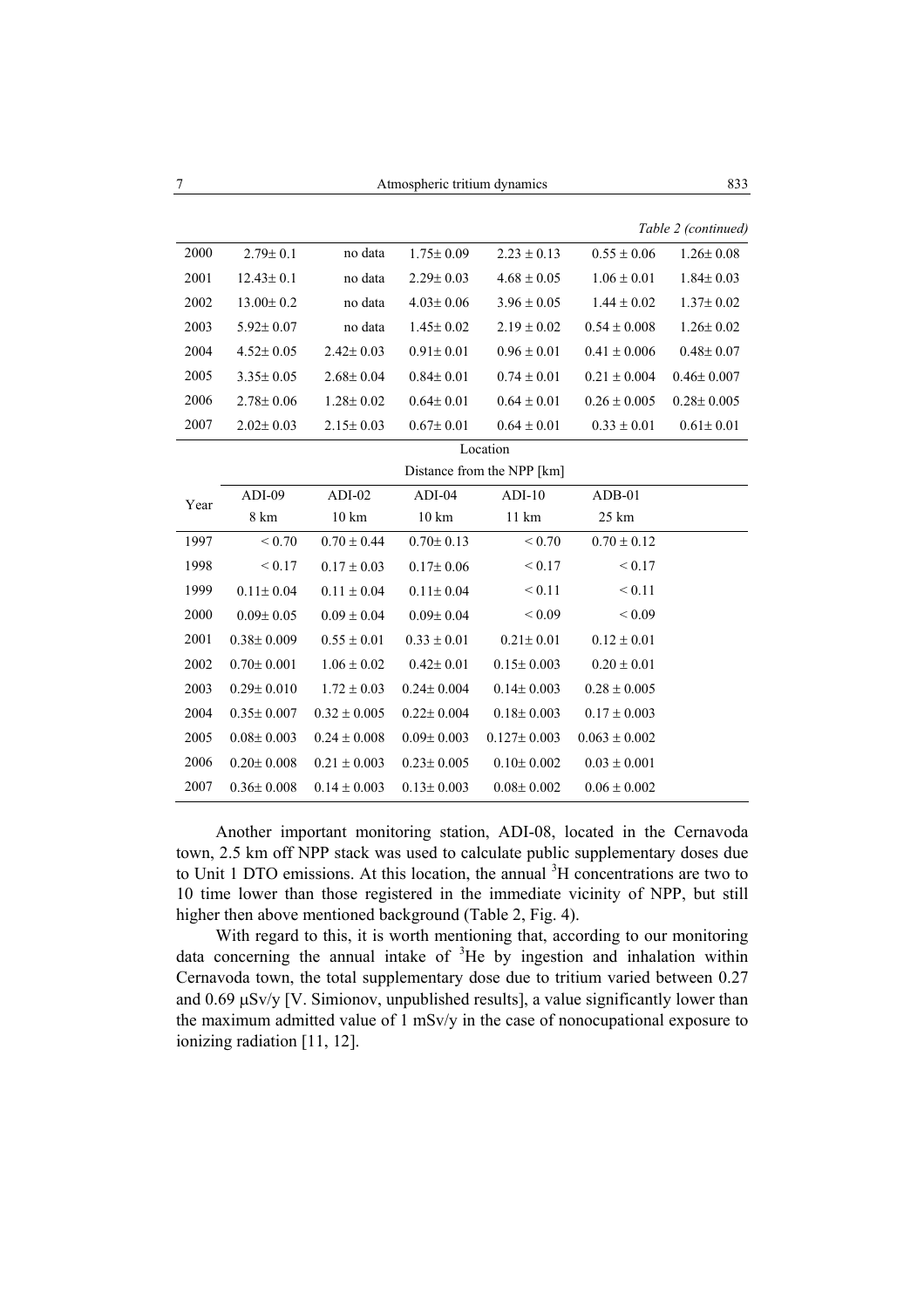|  | $Table 2$ (continue |
|--|---------------------|

|      |                  |                  |                  |                            |                   | Table 2 (continued) |
|------|------------------|------------------|------------------|----------------------------|-------------------|---------------------|
| 2000 | $2.79 \pm 0.1$   | no data          | $1.75 \pm 0.09$  | $2.23 \pm 0.13$            | $0.55 \pm 0.06$   | $1.26 \pm 0.08$     |
| 2001 | $12.43 \pm 0.1$  | no data          | $2.29 \pm 0.03$  | $4.68 \pm 0.05$            | $1.06 \pm 0.01$   | $1.84 \pm 0.03$     |
| 2002 | $13.00 \pm 0.2$  | no data          | $4.03 \pm 0.06$  | $3.96 \pm 0.05$            | $1.44 \pm 0.02$   | $1.37 \pm 0.02$     |
| 2003 | $5.92 \pm 0.07$  | no data          | $1.45 \pm 0.02$  | $2.19 \pm 0.02$            | $0.54 \pm 0.008$  | $1.26 \pm 0.02$     |
| 2004 | $4.52 \pm 0.05$  | $2.42 \pm 0.03$  | $0.91 \pm 0.01$  | $0.96 \pm 0.01$            | $0.41 \pm 0.006$  | $0.48 \pm 0.07$     |
| 2005 | $3.35 \pm 0.05$  | $2.68 \pm 0.04$  | $0.84 \pm 0.01$  | $0.74 \pm 0.01$            | $0.21 \pm 0.004$  | $0.46 \pm 0.007$    |
| 2006 | $2.78 \pm 0.06$  | $1.28 \pm 0.02$  | $0.64 \pm 0.01$  | $0.64 \pm 0.01$            | $0.26 \pm 0.005$  | $0.28 \pm 0.005$    |
| 2007 | $2.02 \pm 0.03$  | $2.15 \pm 0.03$  | $0.67 \pm 0.01$  | $0.64 \pm 0.01$            | $0.33 \pm 0.01$   | $0.61 \pm 0.01$     |
|      |                  |                  |                  | Location                   |                   |                     |
|      |                  |                  |                  | Distance from the NPP [km] |                   |                     |
| Year | ADI-09           | $ADI-02$         | $ADI-04$         | $ADI-10$                   | ADB-01            |                     |
|      | 8 km             | $10 \text{ km}$  | $10\;{\rm km}$   | 11 km                      | 25 km             |                     |
| 1997 | ${}_{0.70}$      | $0.70 \pm 0.44$  | $0.70 \pm 0.13$  | ${}_{\leq 0.70}$           | $0.70 \pm 0.12$   |                     |
| 1998 | ${}_{\leq 0.17}$ | $0.17 \pm 0.03$  | $0.17 \pm 0.06$  | ${}_{0.17}$                | < 0.17            |                     |
| 1999 | $0.11 \pm 0.04$  | $0.11 \pm 0.04$  | $0.11 \pm 0.04$  | ${}_{0.11}$                | ${}_{0.11}$       |                     |
| 2000 | $0.09 \pm 0.05$  | $0.09 \pm 0.04$  | $0.09 \pm 0.04$  | ${}_{0.09}$                | ${}_{0.09}$       |                     |
| 2001 | $0.38 \pm 0.009$ | $0.55 \pm 0.01$  | $0.33 \pm 0.01$  | $0.21 \pm 0.01$            | $0.12 \pm 0.01$   |                     |
| 2002 | $0.70 \pm 0.001$ | $1.06 \pm 0.02$  | $0.42 \pm 0.01$  | $0.15 \pm 0.003$           | $0.20 \pm 0.01$   |                     |
| 2003 | $0.29 \pm 0.010$ | $1.72 \pm 0.03$  | $0.24 \pm 0.004$ | $0.14 \pm 0.003$           | $0.28 \pm 0.005$  |                     |
| 2004 | $0.35 \pm 0.007$ | $0.32 \pm 0.005$ | $0.22 \pm 0.004$ | $0.18 \pm 0.003$           | $0.17 \pm 0.003$  |                     |
| 2005 | $0.08 \pm 0.003$ | $0.24 \pm 0.008$ | $0.09 \pm 0.003$ | $0.127 \pm 0.003$          | $0.063 \pm 0.002$ |                     |
| 2006 | $0.20 \pm 0.008$ | $0.21 \pm 0.003$ | $0.23 \pm 0.005$ | $0.10 \pm 0.002$           | $0.03 \pm 0.001$  |                     |
| 2007 | $0.36 \pm 0.008$ | $0.14 \pm 0.003$ | $0.13 \pm 0.003$ | $0.08 \pm 0.002$           | $0.06 \pm 0.002$  |                     |

Another important monitoring station, ADI-08, located in the Cernavoda town, 2.5 km off NPP stack was used to calculate public supplementary doses due to Unit 1 DTO emissions. At this location, the annual  ${}^{3}$ H concentrations are two to 10 time lower than those registered in the immediate vicinity of NPP, but still higher then above mentioned background (Table 2, Fig. 4).

With regard to this, it is worth mentioning that, according to our monitoring data concerning the annual intake of  ${}^{3}$ He by ingestion and inhalation within Cernavoda town, the total supplementary dose due to tritium varied between 0.27 and  $0.69 \mu$ Sv/y [V. Simionov, unpublished results], a value significantly lower than the maximum admitted value of 1 mSv/y in the case of nonocupational exposure to ionizing radiation [11, 12].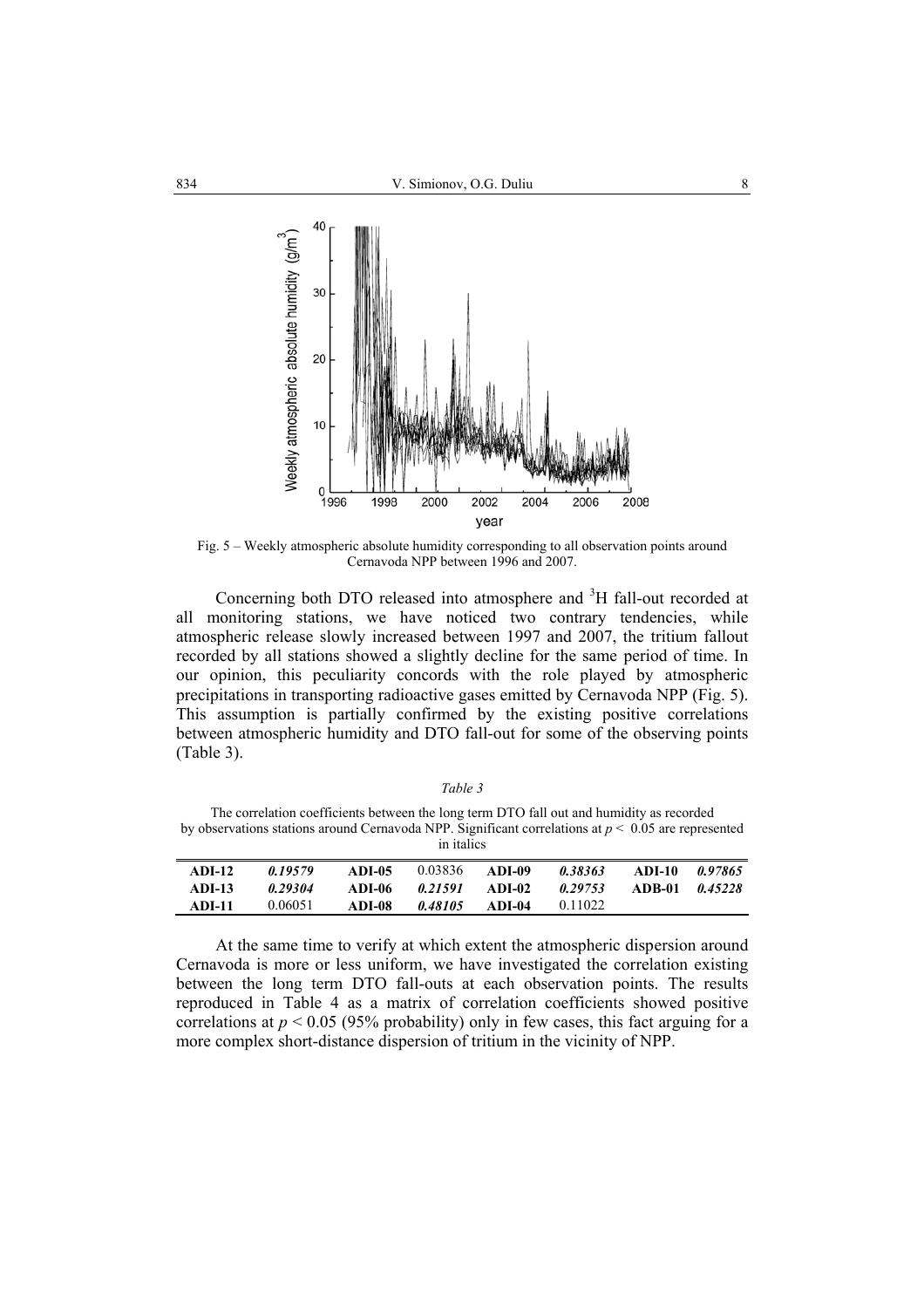

Fig. 5 – Weekly atmospheric absolute humidity corresponding to all observation points around Cernavoda NPP between 1996 and 2007.

Concerning both DTO released into atmosphere and  ${}^{3}H$  fall-out recorded at all monitoring stations, we have noticed two contrary tendencies, while atmospheric release slowly increased between 1997 and 2007, the tritium fallout recorded by all stations showed a slightly decline for the same period of time. In our opinion, this peculiarity concords with the role played by atmospheric precipitations in transporting radioactive gases emitted by Cernavoda NPP (Fig. 5). This assumption is partially confirmed by the existing positive correlations between atmospheric humidity and DTO fall-out for some of the observing points (Table 3).

*Table 3*

The correlation coefficients between the long term DTO fall out and humidity as recorded by observations stations around Cernavoda NPP. Significant correlations at *p* < 0.05 are represented in italics

| <b>ADI-12</b> | 0.19579 | ADI-05 | 0.03836 | ADI-09 | 0.38363 | ADI-10         | 0.97865 |
|---------------|---------|--------|---------|--------|---------|----------------|---------|
| $ADI-13$      | 0.29304 | ADI-06 | 0.21591 | ADI-02 | 0.29753 | ADB-01 0.45228 |         |
| <b>ADI-11</b> | 0.06051 | ADI-08 | 0.48105 | ADI-04 | 0.11022 |                |         |

At the same time to verify at which extent the atmospheric dispersion around Cernavoda is more or less uniform, we have investigated the correlation existing between the long term DTO fall-outs at each observation points. The results reproduced in Table 4 as a matrix of correlation coefficients showed positive correlations at  $p \le 0.05$  (95% probability) only in few cases, this fact arguing for a more complex short-distance dispersion of tritium in the vicinity of NPP.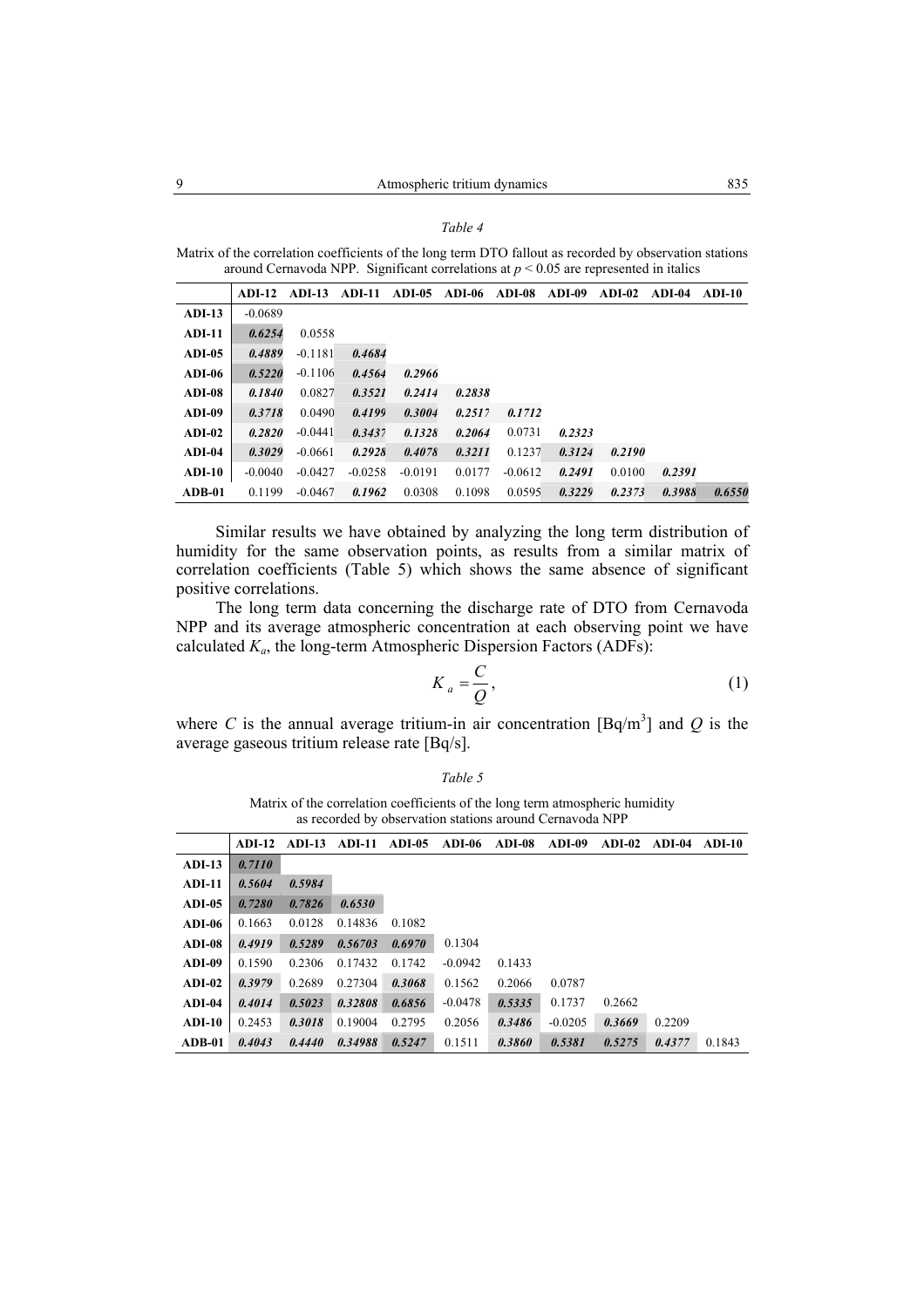|--|--|--|

Matrix of the correlation coefficients of the long term DTO fallout as recorded by observation stations around Cernavoda NPP. Significant correlations at  $p < 0.05$  are represented in italics

|          | $ADI-12$  | $ADI-13$  | <b>ADI-11</b> | <b>ADI-05</b> | ADI-06 | $ADI-08$  | $ADI-09$ | $ADI-02$ | ADI-04 | ADI-10 |
|----------|-----------|-----------|---------------|---------------|--------|-----------|----------|----------|--------|--------|
| $ADI-13$ | $-0.0689$ |           |               |               |        |           |          |          |        |        |
| $ADI-11$ | 0.6254    | 0.0558    |               |               |        |           |          |          |        |        |
| $ADI-05$ | 0.4889    | $-0.1181$ | 0.4684        |               |        |           |          |          |        |        |
| $ADI-06$ | 0.5220    | $-0.1106$ | 0.4564        | 0.2966        |        |           |          |          |        |        |
| ADI-08   | 0.1840    | 0.0827    | 0.3521        | 0.2414        | 0.2838 |           |          |          |        |        |
| $ADI-09$ | 0.3718    | 0.0490    | 0.4199        | 0.3004        | 0.2517 | 0.1712    |          |          |        |        |
| $ADI-02$ | 0.2820    | $-0.0441$ | 0.3437        | 0.1328        | 0.2064 | 0.0731    | 0.2323   |          |        |        |
| $ADI-04$ | 0.3029    | $-0.0661$ | 0.2928        | 0.4078        | 0.3211 | 0.1237    | 0.3124   | 0.2190   |        |        |
| $ADI-10$ | $-0.0040$ | $-0.0427$ | $-0.0258$     | $-0.0191$     | 0.0177 | $-0.0612$ | 0.2491   | 0.0100   | 0.2391 |        |
| $ADB-01$ | 0.1199    | $-0.0467$ | 0.1962        | 0.0308        | 0.1098 | 0.0595    | 0.3229   | 0.2373   | 0.3988 | 0.6550 |

Similar results we have obtained by analyzing the long term distribution of humidity for the same observation points, as results from a similar matrix of correlation coefficients (Table 5) which shows the same absence of significant positive correlations.

The long term data concerning the discharge rate of DTO from Cernavoda NPP and its average atmospheric concentration at each observing point we have calculated *Ka*, the long-term Atmospheric Dispersion Factors (ADFs):

$$
K_a = \frac{C}{Q},\tag{1}
$$

where C is the annual average tritium-in air concentration  $[\text{Bq/m}^3]$  and Q is the average gaseous tritium release rate [Bq/s].

*Table 5* 

Matrix of the correlation coefficients of the long term atmospheric humidity as recorded by observation stations around Cernavoda NPP

|          | $ADI-12$ |        | <b>ADI-13 ADI-11</b> | $ADI-05$ | $ADI-06$  | ADI-08 | ADI-09    | $ADI-02$ | ADI-04 | - ADI-10 |
|----------|----------|--------|----------------------|----------|-----------|--------|-----------|----------|--------|----------|
| $ADI-13$ | 0.7110   |        |                      |          |           |        |           |          |        |          |
| $ADI-11$ | 0.5604   | 0.5984 |                      |          |           |        |           |          |        |          |
| $ADI-05$ | 0.7280   | 0.7826 | 0.6530               |          |           |        |           |          |        |          |
| $ADI-06$ | 0.1663   | 0.0128 | 0.14836              | 0.1082   |           |        |           |          |        |          |
| $ADI-08$ | 0.4919   | 0.5289 | 0.56703              | 0.6970   | 0.1304    |        |           |          |        |          |
| $ADI-09$ | 0.1590   | 0.2306 | 0.17432              | 0.1742   | $-0.0942$ | 0.1433 |           |          |        |          |
| $ADI-02$ | 0.3979   | 0.2689 | 0.27304              | 0.3068   | 0.1562    | 0.2066 | 0.0787    |          |        |          |
| $ADI-04$ | 0.4014   | 0.5023 | 0.32808              | 0.6856   | $-0.0478$ | 0.5335 | 0.1737    | 0.2662   |        |          |
| $ADI-10$ | 0.2453   | 0.3018 | 0.19004              | 0.2795   | 0.2056    | 0.3486 | $-0.0205$ | 0.3669   | 0.2209 |          |
| $ADB-01$ | 0.4043   | 0.4440 | 0.34988              | 0.5247   | 0.1511    | 0.3860 | 0.5381    | 0.5275   | 0.4377 | 0.1843   |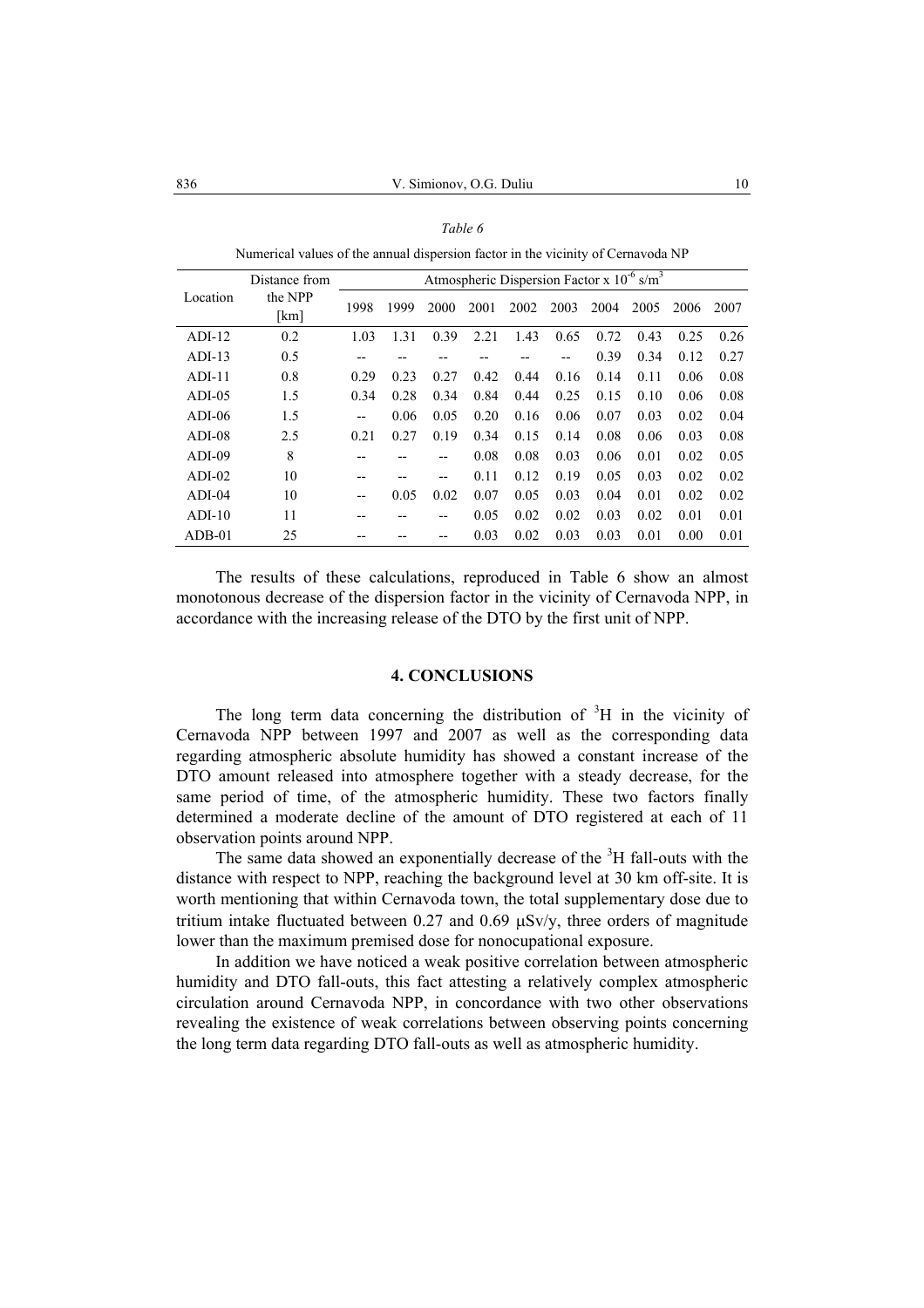| Numerical values of the annual dispersion factor in the vicinity of Cernavoda NP |               |                                                            |      |       |      |      |      |      |      |      |      |  |
|----------------------------------------------------------------------------------|---------------|------------------------------------------------------------|------|-------|------|------|------|------|------|------|------|--|
|                                                                                  | Distance from | Atmospheric Dispersion Factor x $10^{-6}$ s/m <sup>3</sup> |      |       |      |      |      |      |      |      |      |  |
| Location                                                                         | the NPP       | 1998                                                       | 1999 | 2000  | 2001 | 2002 | 2003 | 2004 | 2005 | 2006 | 2007 |  |
|                                                                                  | [km]          |                                                            |      |       |      |      |      |      |      |      |      |  |
| $ADI-12$                                                                         | 0.2           | 1.03                                                       | 1.31 | 0.39  | 2.21 | 1.43 | 0.65 | 0.72 | 0.43 | 0.25 | 0.26 |  |
| $ADI-13$                                                                         | 0.5           | --                                                         |      |       |      |      |      | 0.39 | 0.34 | 0.12 | 0.27 |  |
| $ADI-11$                                                                         | 0.8           | 0.29                                                       | 0.23 | 0.27  | 0.42 | 0.44 | 0.16 | 0.14 | 0.11 | 0.06 | 0.08 |  |
| $ADI-05$                                                                         | 1.5           | 0.34                                                       | 0.28 | 0.34  | 0.84 | 0.44 | 0.25 | 0.15 | 0.10 | 0.06 | 0.08 |  |
| $ADI-06$                                                                         | 1.5           | --                                                         | 0.06 | 0.05  | 0.20 | 0.16 | 0.06 | 0.07 | 0.03 | 0.02 | 0.04 |  |
| $ADI-08$                                                                         | 2.5           | 0.21                                                       | 0.27 | 0.19  | 0.34 | 0.15 | 0.14 | 0.08 | 0.06 | 0.03 | 0.08 |  |
| $ADI-09$                                                                         | 8             |                                                            |      | --    | 0.08 | 0.08 | 0.03 | 0.06 | 0.01 | 0.02 | 0.05 |  |
| $ADI-02$                                                                         | 10            | --                                                         |      | $- -$ | 0.11 | 0.12 | 0.19 | 0.05 | 0.03 | 0.02 | 0.02 |  |
| $ADI-04$                                                                         | 10            | --                                                         | 0.05 | 0.02  | 0.07 | 0.05 | 0.03 | 0.04 | 0.01 | 0.02 | 0.02 |  |
| $ADI-10$                                                                         | 11            | --                                                         |      | --    | 0.05 | 0.02 | 0.02 | 0.03 | 0.02 | 0.01 | 0.01 |  |
| $ADB-01$                                                                         | 25            |                                                            |      |       | 0.03 | 0.02 | 0.03 | 0.03 | 0.01 | 0.00 | 0.01 |  |

| I<br>I |  |
|--------|--|
|--------|--|

Numerical values of the annual dispersion factor in the vicinity of Cernavoda NP

The results of these calculations, reproduced in Table 6 show an almost monotonous decrease of the dispersion factor in the vicinity of Cernavoda NPP, in accordance with the increasing release of the DTO by the first unit of NPP.

#### **4. CONCLUSIONS**

The long term data concerning the distribution of  ${}^{3}H$  in the vicinity of Cernavoda NPP between 1997 and 2007 as well as the corresponding data regarding atmospheric absolute humidity has showed a constant increase of the DTO amount released into atmosphere together with a steady decrease, for the same period of time, of the atmospheric humidity. These two factors finally determined a moderate decline of the amount of DTO registered at each of 11 observation points around NPP.

The same data showed an exponentially decrease of the  ${}^{3}H$  fall-outs with the distance with respect to NPP, reaching the background level at 30 km off-site. It is worth mentioning that within Cernavoda town, the total supplementary dose due to tritium intake fluctuated between 0.27 and 0.69 µSv/y, three orders of magnitude lower than the maximum premised dose for nonocupational exposure.

In addition we have noticed a weak positive correlation between atmospheric humidity and DTO fall-outs, this fact attesting a relatively complex atmospheric circulation around Cernavoda NPP, in concordance with two other observations revealing the existence of weak correlations between observing points concerning the long term data regarding DTO fall-outs as well as atmospheric humidity.